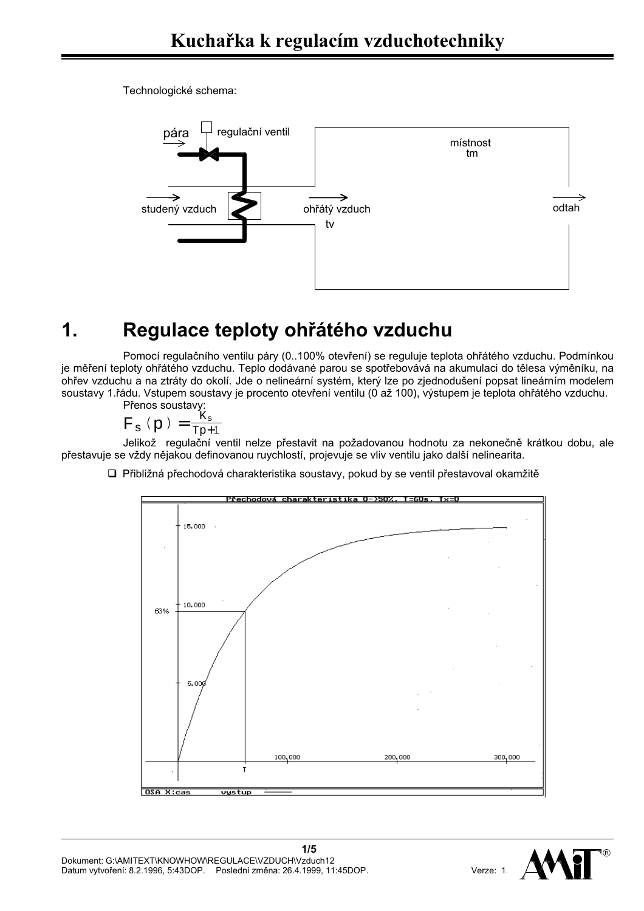Technologické schema:



# Regulace teploty ohřátého vzduchu  $\mathbf 1$

Pomocí regulačního ventilu páry (0..100% otevření) se reguluje teplota ohřátého vzduchu. Podmínkou je měření teploty ohřátého vzduchu. Teplo dodávané parou se spotřebovává na akumulaci do tělesa výměníku, na ohřev vzduchu a na ztráty do okolí. Jde o nelineární systém, který lze po zjednodušení popsat lineárním modelem soustavy 1.řádu. Vstupem soustavy je procento otevření ventilu (0 až 100), výstupem je teplota ohřátého vzduchu.

Přenos soustavy:

$$
F_s(p) = \frac{K_s}{Tp+1}
$$

Jelikož regulační ventil nelze přestavit na požadovanou hodnotu za nekonečně krátkou dobu, ale přestavuje se vždy nějakou definovanou ruychlostí, projevuje se vliv ventilu jako další nelinearita.

□ Přibližná přechodová charakteristika soustavy, pokud by se ventil přestavoval okamžitě



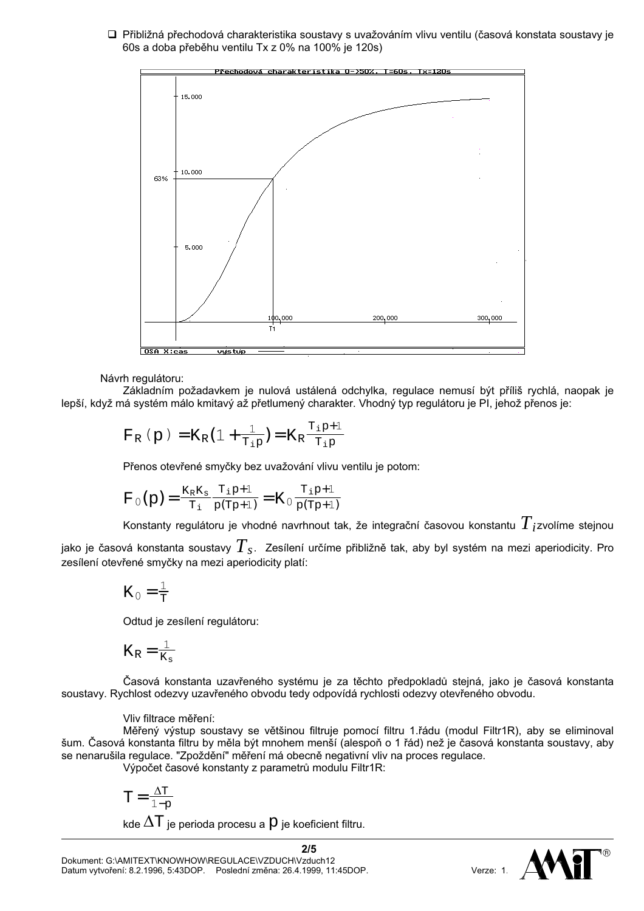□ Přibližná přechodová charakteristika soustavy s uvažováním vlivu ventilu (časová konstata soustavy je 60s a doba přeběhu ventilu Tx z 0% na 100% je 120s)



# Návrh regulátoru:

Základním požadavkem je nulová ustálená odchylka, regulace nemusí být příliš rychlá, naopak je lepší, když má systém málo kmitavý až přetlumený charakter. Vhodný typ regulátoru je PI, jehož přenos je:

$$
F_R(p) = K_R(1 + \frac{1}{T_{ip}}) = K_R \frac{T_{ip} + 1}{T_{ip}}
$$

Přenos otevřené smyčky bez uvažování vlivu ventilu je potom:

$$
F_0(p) = \frac{K_R K_s}{T_i} \frac{T_i p + 1}{p(Tp + 1)} = K_0 \frac{T_i p + 1}{p(Tp + 1)}
$$

Konstanty regulátoru je vhodné navrhnout tak, že integrační časovou konstantu  $T_i$ zvolíme stejnou

jako je časová konstanta soustavy  $T_{s}$ . Zesílení určíme přibližně tak, aby byl systém na mezi aperiodicity. Pro zesílení otevřené smyčky na mezi aperiodicity platí:

$$
K_0 = \frac{1}{T}
$$

Odtud je zesílení regulátoru:

$$
K_{R} = \frac{1}{K_{s}}
$$

Časová konstanta uzavřeného systému je za těchto předpokladů stejná, jako je časová konstanta soustavy. Rychlost odezvy uzavřeného obvodu tedy odpovídá rychlosti odezvy otevřeného obvodu.

## Vliv filtrace měření:

Měřený výstup soustavy se většinou filtruje pomocí filtru 1.řádu (modul Filtr1R), aby se eliminoval šum. Časová konstanta filtru by měla být mnohem menší (alespoň o 1 řád) než je časová konstanta soustavy, aby se nenarušila regulace. "Zpoždění" měření má obecně negativní vliv na proces regulace.

Výpočet časové konstanty z parametrů modulu Filtr1R:

$$
T\,{=}\,\frac{\Delta T}{1{-}p}
$$

kde  $\Delta T$  ie perioda procesu a  $P$  ie koeficient filtru.

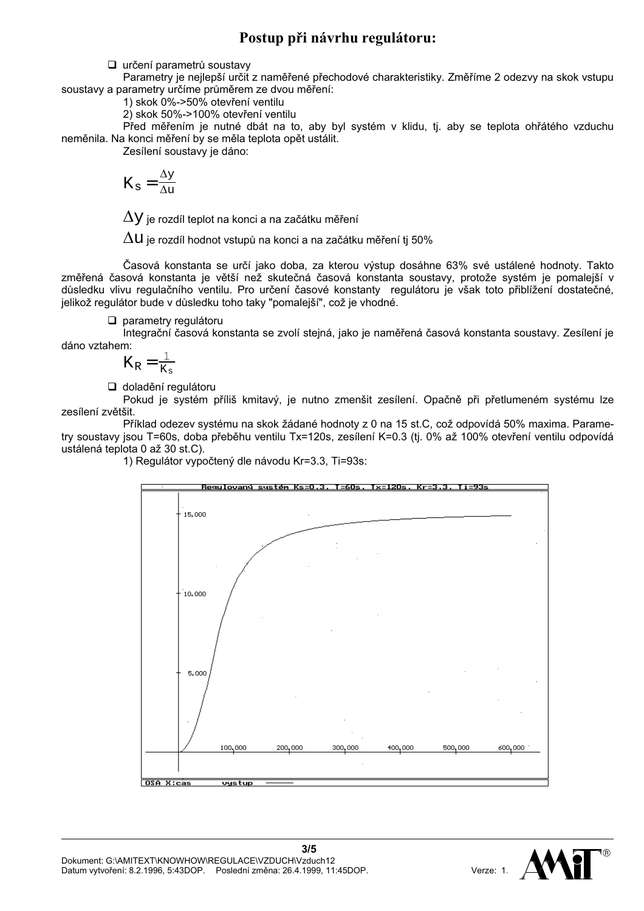# Postup při návrhu regulátoru:

□ určení parametrů soustavy

Parametry je nejlepší určit z naměřené přechodové charakteristiky. Změříme 2 odezvy na skok vstupu soustavy a parametry určíme průměrem ze dvou měření:

1) skok 0%->50% otevření ventilu

2) skok 50%->100% otevření ventilu

Před měřením je nutné dbát na to, aby byl systém v klidu, tj. aby se teplota ohřátého vzduchu neměnila. Na konci měření by se měla teplota opět ustálit.

Zesílení soustavy je dáno:

$$
K_{\rm s}=\frac{\Delta y}{\Delta u}
$$

 $\Delta \mathrm{y}$  je rozdíl teplot na konci a na začátku měření

 $\Delta \mathrm{u}$  je rozdíl hodnot vstupů na konci a na začátku měření tj 50%

Časová konstanta se určí jako doba, za kterou výstup dosáhne 63% své ustálené hodnoty. Takto změřená časová konstanta je větší než skutečná časová konstanta soustavy, protože systém je pomalejší v důsledku vlivu regulačního ventilu. Pro určení časové konstanty regulátoru je však toto přiblížení dostatečné, jelikož regulátor bude v důsledku toho taky "pomalejší", což je vhodné.

 $\Box$  parametry regulátoru

Integrační časová konstanta se zvolí stejná, jako je naměřená časová konstanta soustavy. Zesílení je dáno vztahem:

$$
K_R\!=\!\tfrac{1}{K_s}
$$

d doladění regulátoru

Pokud je systém příliš kmitavý, je nutno zmenšit zesílení. Opačně při přetlumeném systému lze zesílení zvětšit.

Příklad odezev systému na skok žádané hodnoty z 0 na 15 st.C, což odpovídá 50% maxima. Parametry soustavy jsou T=60s, doba přeběhu ventilu Tx=120s, zesílení K=0.3 (tj. 0% až 100% otevření ventilu odpovídá ustálená teplota 0 až 30 st.C).

1) Regulátor vypočtený dle návodu Kr=3.3, Ti=93s:



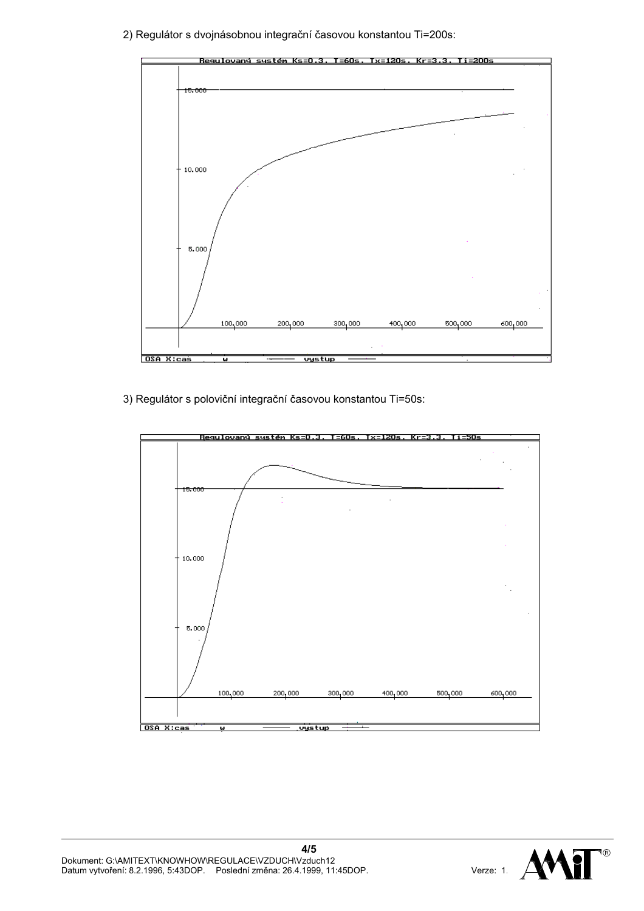2) Regulátor s dvojnásobnou integrační časovou konstantou Ti=200s:



3) Regulátor s poloviční integrační časovou konstantou Ti=50s: